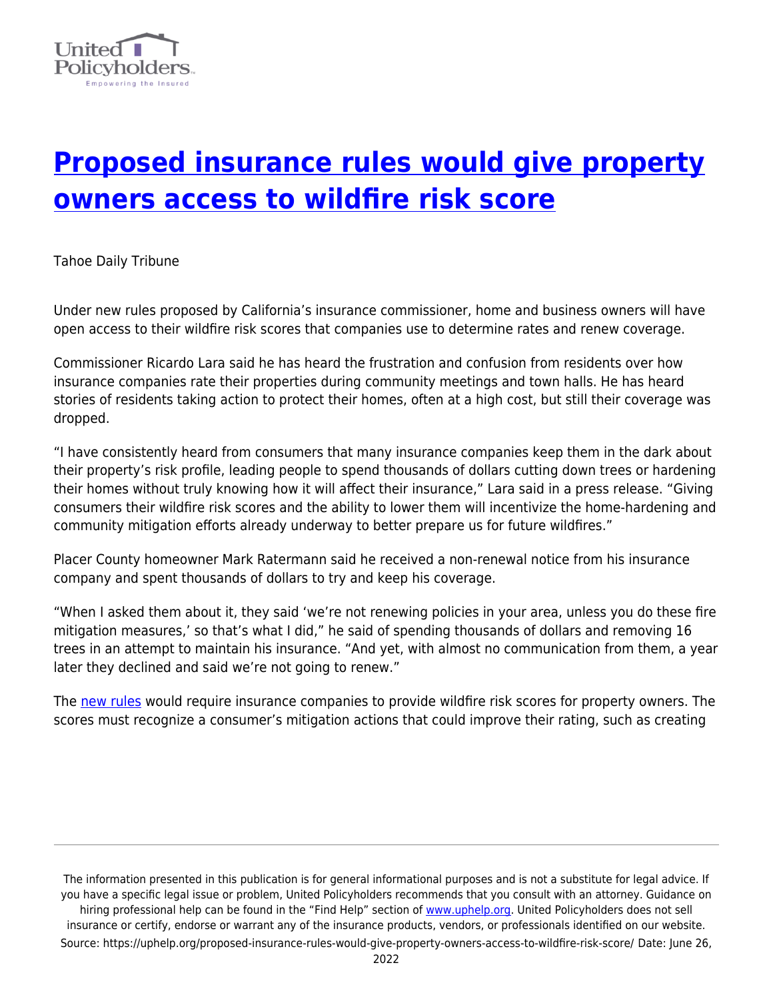

## **[Proposed insurance rules would give property](https://uphelp.org/proposed-insurance-rules-would-give-property-owners-access-to-wildfire-risk-score/) [owners access to wildfire risk score](https://uphelp.org/proposed-insurance-rules-would-give-property-owners-access-to-wildfire-risk-score/)**

Tahoe Daily Tribune

Under new rules proposed by California's insurance commissioner, home and business owners will have open access to their wildfire risk scores that companies use to determine rates and renew coverage.

Commissioner Ricardo Lara said he has heard the frustration and confusion from residents over how insurance companies rate their properties during community meetings and town halls. He has heard stories of residents taking action to protect their homes, often at a high cost, but still their coverage was dropped.

"I have consistently heard from consumers that many insurance companies keep them in the dark about their property's risk profile, leading people to spend thousands of dollars cutting down trees or hardening their homes without truly knowing how it will affect their insurance," Lara said in a press release. "Giving consumers their wildfire risk scores and the ability to lower them will incentivize the home-hardening and community mitigation efforts already underway to better prepare us for future wildfires."

Placer County homeowner Mark Ratermann said he received a non-renewal notice from his insurance company and spent thousands of dollars to try and keep his coverage.

"When I asked them about it, they said 'we're not renewing policies in your area, unless you do these fire mitigation measures,' so that's what I did," he said of spending thousands of dollars and removing 16 trees in an attempt to maintain his insurance. "And yet, with almost no communication from them, a year later they declined and said we're not going to renew."

The [new rules](http://www.insurance.ca.gov/0400-news/0100-press-releases/2021/release023-2021.cfm?fbclid=IwAR1IN3yELWakiAYoAKT4VgafEm-aopX9ouzw08uZj5ci8m_JUNz_bV8wU_w) would require insurance companies to provide wildfire risk scores for property owners. The scores must recognize a consumer's mitigation actions that could improve their rating, such as creating

The information presented in this publication is for general informational purposes and is not a substitute for legal advice. If you have a specific legal issue or problem, United Policyholders recommends that you consult with an attorney. Guidance on hiring professional help can be found in the "Find Help" section of [www.uphelp.org.](http://www.uphelp.org/) United Policyholders does not sell insurance or certify, endorse or warrant any of the insurance products, vendors, or professionals identified on our website. Source: https://uphelp.org/proposed-insurance-rules-would-give-property-owners-access-to-wildfire-risk-score/ Date: June 26,